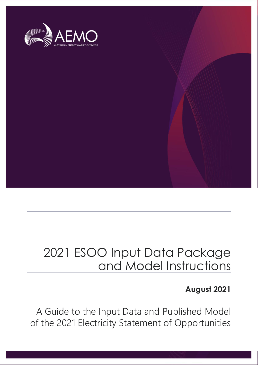

### 2021 ESOO Input Data Package and Model Instructions

### **August 2021**

A Guide to the Input Data and Published Model of the 2021 Electricity Statement of Opportunities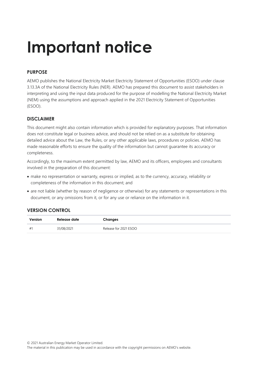# **Important notice**

### **PURPOSE**

AEMO publishes the National Electricity Market Electricity Statement of Opportunities (ESOO) under clause 3.13.3A of the National Electricity Rules (NER). AEMO has prepared this document to assist stakeholders in interpreting and using the input data produced for the purpose of modelling the National Electricity Market (NEM) using the assumptions and approach applied in the 2021 Electricity Statement of Opportunities (ESOO).

### **DISCLAIMER**

This document might also contain information which is provided for explanatory purposes. That information does not constitute legal or business advice, and should not be relied on as a substitute for obtaining detailed advice about the Law, the Rules, or any other applicable laws, procedures or policies. AEMO has made reasonable efforts to ensure the quality of the information but cannot guarantee its accuracy or completeness.

Accordingly, to the maximum extent permitted by law, AEMO and its officers, employees and consultants involved in the preparation of this document:

- make no representation or warranty, express or implied, as to the currency, accuracy, reliability or completeness of the information in this document; and
- are not liable (whether by reason of negligence or otherwise) for any statements or representations in this document, or any omissions from it, or for any use or reliance on the information in it.

#### **VERSION CONTROL**

| Version | Release date | Changes               |
|---------|--------------|-----------------------|
| #1      | 31/08/2021   | Release for 2021 ESOO |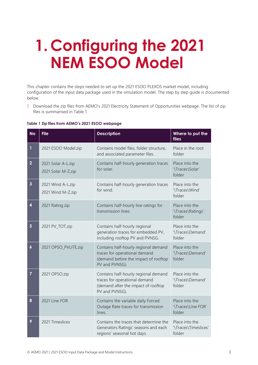### **1. Configuring the 2021 NEM ESOO Model**

This chapter contains the steps needed to set up the 2021 ESOO PLEXOS market model, including configuration of the input data package used in the simulation model. The step by step guide is documented below.

1. Download the zip files from AEMO's 2021 Electricity Statement of Opportunities webpage. The list of zip files is summarised in [Table 1.](#page-2-0)

| <b>No</b>               | <b>File</b>                              | <b>Description</b>                                                                                                              | Where to put the<br>files                      |
|-------------------------|------------------------------------------|---------------------------------------------------------------------------------------------------------------------------------|------------------------------------------------|
| 1                       | 2021 ESOO Model.zip                      | Contains model files, folder structure,<br>and associated parameter files.                                                      | Place in the root<br>folder                    |
| $\overline{2}$          | 2021 Solar A-L.zip<br>2021 Solar M-Z.zip | Contains half-hourly generation traces<br>for solar.                                                                            | Place into the<br>'\Traces\Solar'<br>folder    |
| $\overline{\mathbf{3}}$ | 2021 Wind A-L.zip<br>2021 Wind M-Z.zip   | Contains half-hourly generation traces<br>for wind.                                                                             | Place into the<br>'\Traces\Wind'<br>folder     |
| $\overline{\mathbf{4}}$ | 2021 Rating.zip                          | Contains half-hourly line ratings for<br>transmission lines.                                                                    | Place into the<br>'\Traces\Ratings'<br>folder  |
| 5                       | 2021 PV_TOT.zip                          | Contains half-hourly regional<br>generation traces for embedded PV,<br>including rooftop PV and PVNSG.                          | Place into the<br>'\Traces\Demand'<br>folder   |
| $\boldsymbol{6}$        | 2021 OPSO_PVLITE.zip                     | Contains half-hourly regional demand<br>traces for operational demand<br>(demand before the impact of rooftop<br>PV and PVNSG). | Place into the<br>'\Traces\Demand'<br>folder   |
| $\overline{7}$          | 2021 OPSO.zip                            | Contains half-hourly regional demand<br>traces for operational demand<br>(demand after the impact of rooftop<br>PV and PVNSG).  | Place into the<br>'\Traces\Demand'<br>folder   |
| 8                       | 2021 Line FOR                            | Contains the variable daily Forced<br>Outage Rate traces for transmission<br>lines.                                             | Place into the<br>'\Traces\Line FOR'<br>folder |
| 9                       | 2021 Timeslices                          | Contains the traces that determine the<br>Generators Ratings' seasons and each                                                  | Place into the<br>'\Traces\Timeslices'         |

regions' seasonal hot days.

#### <span id="page-2-0"></span>**Table 1 Zip files from AEMO's 2021 ESOO webpage**

folder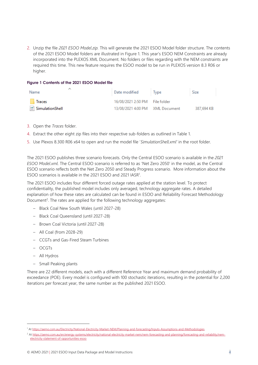2. Unzip the file *2021 ESOO Model.zip.* This will generate the 2021 ESOO Model folder structure. The contents of the 2021 ESOO Model folders are illustrated in [Figure 1.](#page-3-0) This year's ESOO NEM Constraints are already incorporated into the PLEXOS XML Document. No folders or files regarding with the NEM constraints are required this time. This new feature requires the ESOO model to be run in PLEXOS version 8.3 R06 or higher.

#### <span id="page-3-0"></span>**Figure 1 Contents of the 2021 ESOO Model file**

| Name            | Date modified                   | Type | Size       |
|-----------------|---------------------------------|------|------------|
| Traces          | 16/08/2021 2:50 PM File folder  |      |            |
| SimulationShell | 13/08/2021 4:00 PM XML Document |      | 387.694 KB |

- 3. Open the *Traces* folder.
- 4. Extract the other eight zip files into their respective sub-folders as outlined in Table 1.
- 5. Use Plexos 8.300 R06 x64 to open and run the model file '*SimulationShell.xml'* in the root folder.

The 2021 ESOO publishes three scenario forecasts. Only the Central ESOO scenario is available in the *2021 ESOO Model.xml*. The Central ESOO scenario is referred to as 'Net Zero 2050' in the model, as the Central ESOO scenario reflects both the Net Zero 2050 and Steady Progress scenario. More information about the ESOO scenarios is available in the 2021 ESOO and 2021 IASR<sup>1</sup>.

The 2021 ESOO includes four different forced outage rates applied at the station level. To protect confidentiality, the published model includes only averaged, technology aggregate rates. A detailed explanation of how these rates are calculated can be found in ESOO and Reliability Forecast Methodology Document<sup>2</sup>. The rates are applied for the following technology aggregates:

- Black Coal New South Wales (until 2027-28)
- Black Coal Queensland (until 2027-28)
- Brown Coal Victoria (until 2027-28)
- All Coal (from 2028-29)
- CCGTs and Gas-Fired Steam Turbines
- OCGTs
- All Hydros
- Small Peaking plants

There are 22 different models, each with a different Reference Year and maximum demand probability of exceedance (POE). Every model is configured with 100 stochastic iterations, resulting in the potential for 2,200 iterations per forecast year, the same number as the published 2021 ESOO.

<sup>1</sup> A[t https://aemo.com.au/Electricity/National-Electricity-Market-NEM/Planning-and-forecasting/Inputs-Assumptions-and-Methodologies.](https://aemo.com.au/Electricity/National-Electricity-Market-NEM/Planning-and-forecasting/Inputs-Assumptions-and-Methodologies)

<sup>&</sup>lt;sup>2</sup> A[t https://aemo.com.au/en/energy-systems/electricity/national-electricity-market-nem/nem-forecasting-and-planning/forecasting-and-reliability/nem](https://aemo.com.au/en/energy-systems/electricity/national-electricity-market-nem/nem-forecasting-and-planning/forecasting-and-reliability/nem-electricity-statement-of-opportunities-esoo)[electricity-statement-of-opportunities-esoo](https://aemo.com.au/en/energy-systems/electricity/national-electricity-market-nem/nem-forecasting-and-planning/forecasting-and-reliability/nem-electricity-statement-of-opportunities-esoo)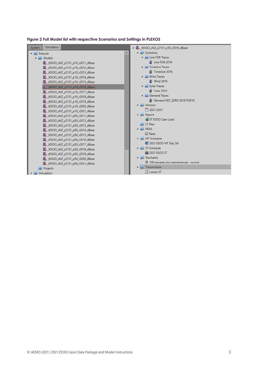

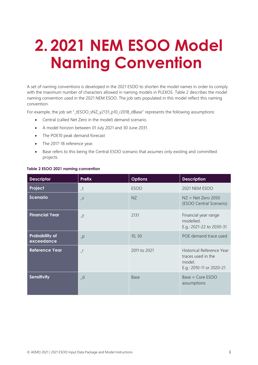### **2. 2021 NEM ESOO Model Naming Convention**

A set of naming conventions is developed in the 2021 ESOO to shorten the model names in order to comply with the maximum number of characters allowed in naming models in PLEXOS. [Table 2](#page-5-0) describes the model naming convention used in the 2021 NEM ESOO. The job sets populated in this model reflect this naming convention.

For example, the job set "\_tESOO\_sNZ\_y2131\_p10\_r2018\_dBase" represents the following assumptions:

- Central (called Net Zero in the model) demand scenario.
- A model horizon between 01 July 2021 and 30 June 2031.
- The POE10 peak demand forecast
- The 2017-18 reference year.
- Base refers to this being the Central ESOO scenario that assumes only existing and committed projects.

| <b>Descriptor</b>                   | <b>Prefix</b>            | <b>Options</b> | <b>Description</b>                                                                    |
|-------------------------------------|--------------------------|----------------|---------------------------------------------------------------------------------------|
| Project                             | $_t$                     | <b>ESOO</b>    | <b>2021 NEM ESOO</b>                                                                  |
| <b>Scenario</b>                     | $\overline{\phantom{0}}$ | NZ             | $NZ = Net Zero 2050$<br>(ESOO Central Scenario)                                       |
| <b>Financial Year</b>               | $\overline{y}$           | 2131           | Financial year range<br>modelled.<br>E.g.: 2021-22 to 2030-31                         |
| <b>Probability of</b><br>exceedance | $-p$                     | 10, 50         | POE demand trace used                                                                 |
| <b>Reference Year</b>               | $\mathsf{r}$             | 2011 to 2021   | Historical Reference Year<br>traces used in the<br>model.<br>E.g.: 2010-11 or 2020-21 |
| <b>Sensitivity</b>                  | $-d$                     | Base           | Base = Core ESOO<br>assumptions                                                       |

#### <span id="page-5-0"></span>**Table 2 ESOO 2021 naming convention**